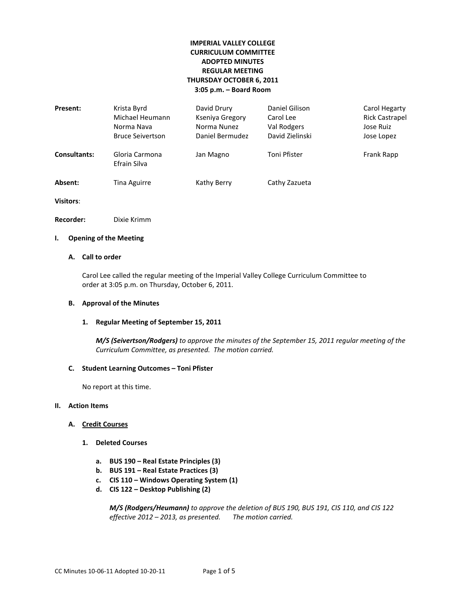# **IMPERIAL VALLEY COLLEGE CURRICULUM COMMITTEE ADOPTED MINUTES REGULAR MEETING THURSDAY OCTOBER 6, 2011 3:05 p.m. – Board Room**

| Present:            | Krista Byrd<br>Michael Heumann<br>Norma Nava<br><b>Bruce Seivertson</b> | David Drury<br>Kseniya Gregory<br>Norma Nunez<br>Daniel Bermudez | Daniel Gilison<br>Carol Lee<br>Val Rodgers<br>David Zielinski | Carol Hegarty<br><b>Rick Castrapel</b><br>Jose Ruiz<br>Jose Lopez |
|---------------------|-------------------------------------------------------------------------|------------------------------------------------------------------|---------------------------------------------------------------|-------------------------------------------------------------------|
| <b>Consultants:</b> | Gloria Carmona<br>Efrain Silva                                          | Jan Magno                                                        | Toni Pfister                                                  | Frank Rapp                                                        |
| Absent:             | Tina Aguirre                                                            | Kathy Berry                                                      | Cathy Zazueta                                                 |                                                                   |

**Visitors**:

**Recorder:** Dixie Krimm

### **I. Opening of the Meeting**

### **A. Call to order**

Carol Lee called the regular meeting of the Imperial Valley College Curriculum Committee to order at 3:05 p.m. on Thursday, October 6, 2011.

#### **B. Approval of the Minutes**

## **1. Regular Meeting of September 15, 2011**

*M/S (Seivertson/Rodgers) to approve the minutes of the September 15, 2011 regular meeting of the Curriculum Committee, as presented. The motion carried.*

## **C. Student Learning Outcomes – Toni Pfister**

No report at this time.

#### **II. Action Items**

### **A. Credit Courses**

- **1. Deleted Courses**
	- **a. BUS 190 – Real Estate Principles (3)**
	- **b. BUS 191 – Real Estate Practices (3)**
	- **c. CIS 110 – Windows Operating System (1)**
	- **d. CIS 122 – Desktop Publishing (2)**

*M/S (Rodgers/Heumann) to approve the deletion of BUS 190, BUS 191, CIS 110, and CIS 122 effective 2012 – 2013, as presented. The motion carried.*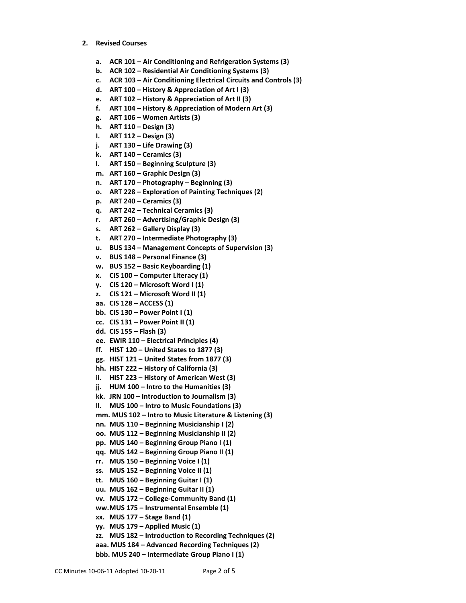- **2. Revised Courses**
	- **a. ACR 101 – Air Conditioning and Refrigeration Systems (3)**
	- **b. ACR 102 – Residential Air Conditioning Systems (3)**
	- **c. ACR 103 – Air Conditioning Electrical Circuits and Controls (3)**
	- **d. ART 100 – History & Appreciation of Art I (3)**
	- **e. ART 102 – History & Appreciation of Art II (3)**
	- **f. ART 104 – History & Appreciation of Modern Art (3)**
	- **g. ART 106 – Women Artists (3)**
	- **h. ART 110 – Design (3)**
	- **I. ART 112 – Design (3)**
	- **j. ART 130 – Life Drawing (3)**
	- **k. ART 140 – Ceramics (3)**
	- **l. ART 150 – Beginning Sculpture (3)**
	- **m. ART 160 – Graphic Design (3)**
	- **n. ART 170 – Photography – Beginning (3)**
	- **o. ART 228 – Exploration of Painting Techniques (2)**
	- **p. ART 240 – Ceramics (3)**
	- **q. ART 242 – Technical Ceramics (3)**
	- **r. ART 260 – Advertising/Graphic Design (3)**
	- **s. ART 262 – Gallery Display (3)**
	- **t. ART 270 – Intermediate Photography (3)**
	- **u. BUS 134 – Management Concepts of Supervision (3)**
	- **v. BUS 148 – Personal Finance (3)**
	- **w. BUS 152 – Basic Keyboarding (1)**
	- **x. CIS 100 – Computer Literacy (1)**
	- **y. CIS 120 – Microsoft Word I (1)**
	- **z. CIS 121 – Microsoft Word II (1)**
	- **aa. CIS 128 – ACCESS (1)**
	- **bb. CIS 130 – Power Point I (1)**
	- **cc. CIS 131 – Power Point II (1)**
	- **dd. CIS 155 – Flash (3)**
	- **ee. EWIR 110 – Electrical Principles (4)**
	- **ff. HIST 120 – United States to 1877 (3)**
	- **gg. HIST 121 – United States from 1877 (3)**
	- **hh. HIST 222 – History of California (3)**
	- **ii. HIST 223 – History of American West (3)**
	- **jj. HUM 100 – Intro to the Humanities (3)**
	- **kk. JRN 100 – Introduction to Journalism (3)**
	- **ll. MUS 100 – Intro to Music Foundations (3)**
	- **mm. MUS 102 – Intro to Music Literature & Listening (3)**
	- **nn. MUS 110 – Beginning Musicianship I (2)**
	- **oo. MUS 112 – Beginning Musicianship II (2)**
	- **pp. MUS 140 – Beginning Group Piano I (1)**
	- **qq. MUS 142 – Beginning Group Piano II (1)**
	- **rr. MUS 150 – Beginning Voice I (1)**
	- **ss. MUS 152 – Beginning Voice II (1)**
	- **tt. MUS 160 – Beginning Guitar I (1)**
	- **uu. MUS 162 – Beginning Guitar II (1)**
	- **vv. MUS 172 – College-Community Band (1)**
	- **ww.MUS 175 – Instrumental Ensemble (1)**
	- **xx. MUS 177 – Stage Band (1)**
	- **yy. MUS 179 – Applied Music (1)**
	- **zz. MUS 182 – Introduction to Recording Techniques (2)**
	- **aaa. MUS 184 – Advanced Recording Techniques (2)**
	- **bbb. MUS 240 – Intermediate Group Piano I (1)**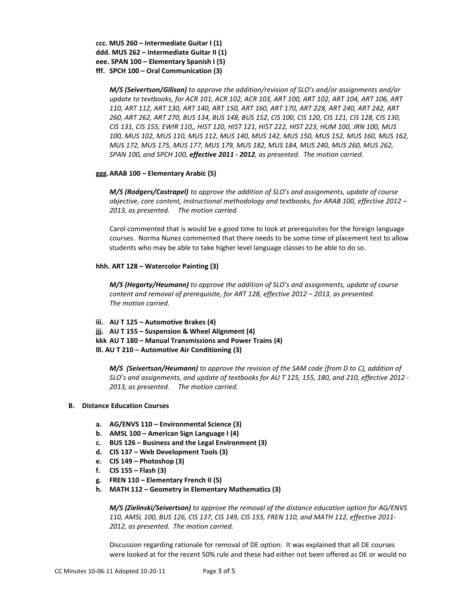**ccc. MUS 260 – Intermediate Guitar I (1) ddd. MUS 262 – Intermediate Guitar II (1) eee. SPAN 100 – Elementary Spanish I (5) fff. SPCH 100 – Oral Communication (3)**

> *M/S (Seivertson/Gilison) to approve the addition/revision of SLO's and/or assignments and/or update to textbooks, for ACR 101, ACR 102, ACR 103, ART 100, ART 102, ART 104, ART 106, ART 110, ART 112, ART 130, ART 140, ART 150, ART 160, ART 170, ART 228, ART 240, ART 242, ART 260, ART 262, ART 270, BUS 134, BUS 148, BUS 152, CIS 100, CIS 120, CIS 121, CIS 128, CIS 130, CIS 131, CIS 155, EWIR 110,, HIST 120, HIST 121, HIST 222, HIST 223, HUM 100, JRN 100, MUS 100, MUS 102, MUS 110, MUS 112, MUS 140, MUS 142, MUS 150, MUS 152, MUS 160, MUS 162, MUS 172, MUS 175, MUS 177, MUS 179, MUS 182, MUS 184, MUS 240, MUS 260, MUS 262, SPAN 100, and SPCH 100, effective 2011 - 2012, as presented. The motion carried.*

## **ggg.ARAB 100 – Elementary Arabic (5)**

*M/S (Rodgers/Castrapel) to approve the addition of SLO's and assignments, update of course objective, core content, instructional methodology and textbooks, for ARAB 100, effective 2012 – 2013, as presented. The motion carried.*

Carol commented that is would be a good time to look at prerequisites for the foreign language courses. Norma Nunez commented that there needs to be some time of placement test to allow students who may be able to take higher level language classes to be able to do so.

## **hhh. ART 128 – Watercolor Painting (3)**

*M/S (Hegarty/Heumann) to approve the addition of SLO's and assignments, update of course content and removal of prerequisite, for ART 128, effective 2012 – 2013, as presented. The motion carried.*

**iii. AU T 125 – Automotive Brakes (4) jjj. AU T 155 – Suspension & Wheel Alignment (4) kkk AU T 180 – Manual Transmissions and Power Trains (4) lll. AU T 210 – Automotive Air Conditioning (3)**

*M/S (Seivertson/Heumann) to approve the revision of the SAM code (from D to C), addition of SLO's and assignments, and update of textbooks for AU T 125, 155, 180, and 210, effective 2012 - 2013, as presented. The motion carried.*

### **B. Distance Education Courses**

- **a. AG/ENVS 110 – Environmental Science (3)**
- **b. AMSL 100 – American Sign Language I (4)**
- **c. BUS 126 – Business and the Legal Environment (3)**
- **d. CIS 137 – Web Development Tools (3)**
- **e. CIS 149 – Photoshop (3)**
- **f. CIS 155 – Flash (3)**
- **g. FREN 110 – Elementary French II (5)**
- **h. MATH 112 – Geometry in Elementary Mathematics (3)**

*M/S (Zielinski/Seivertson) to approve the removal of the distance education option for AG/ENVS 110, AMSL 100, BUS 126, CIS 137, CIS 149, CIS 155, FREN 110, and MATH 112, effective 2011- 2012, as presented. The motion carried.*

Discussion regarding rationale for removal of DE option: It was explained that all DE courses were looked at for the recent 50% rule and these had either not been offered as DE or would no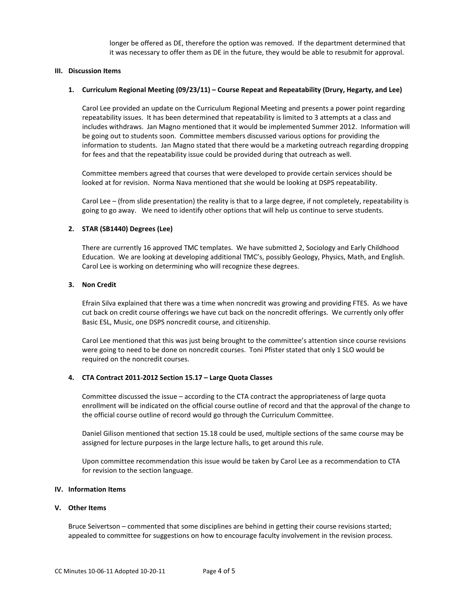longer be offered as DE, therefore the option was removed. If the department determined that it was necessary to offer them as DE in the future, they would be able to resubmit for approval.

### **III. Discussion Items**

#### **1. Curriculum Regional Meeting (09/23/11) – Course Repeat and Repeatability (Drury, Hegarty, and Lee)**

Carol Lee provided an update on the Curriculum Regional Meeting and presents a power point regarding repeatability issues. It has been determined that repeatability is limited to 3 attempts at a class and includes withdraws. Jan Magno mentioned that it would be implemented Summer 2012. Information will be going out to students soon. Committee members discussed various options for providing the information to students. Jan Magno stated that there would be a marketing outreach regarding dropping for fees and that the repeatability issue could be provided during that outreach as well.

Committee members agreed that courses that were developed to provide certain services should be looked at for revision. Norma Nava mentioned that she would be looking at DSPS repeatability.

Carol Lee – (from slide presentation) the reality is that to a large degree, if not completely, repeatability is going to go away. We need to identify other options that will help us continue to serve students.

### **2. STAR (SB1440) Degrees (Lee)**

There are currently 16 approved TMC templates. We have submitted 2, Sociology and Early Childhood Education. We are looking at developing additional TMC's, possibly Geology, Physics, Math, and English. Carol Lee is working on determining who will recognize these degrees.

### **3. Non Credit**

Efrain Silva explained that there was a time when noncredit was growing and providing FTES. As we have cut back on credit course offerings we have cut back on the noncredit offerings. We currently only offer Basic ESL, Music, one DSPS noncredit course, and citizenship.

Carol Lee mentioned that this was just being brought to the committee's attention since course revisions were going to need to be done on noncredit courses. Toni Pfister stated that only 1 SLO would be required on the noncredit courses.

#### **4. CTA Contract 2011-2012 Section 15.17 – Large Quota Classes**

Committee discussed the issue – according to the CTA contract the appropriateness of large quota enrollment will be indicated on the official course outline of record and that the approval of the change to the official course outline of record would go through the Curriculum Committee.

Daniel Gilison mentioned that section 15.18 could be used, multiple sections of the same course may be assigned for lecture purposes in the large lecture halls, to get around this rule.

Upon committee recommendation this issue would be taken by Carol Lee as a recommendation to CTA for revision to the section language.

### **IV. Information Items**

#### **V. Other Items**

Bruce Seivertson – commented that some disciplines are behind in getting their course revisions started; appealed to committee for suggestions on how to encourage faculty involvement in the revision process.